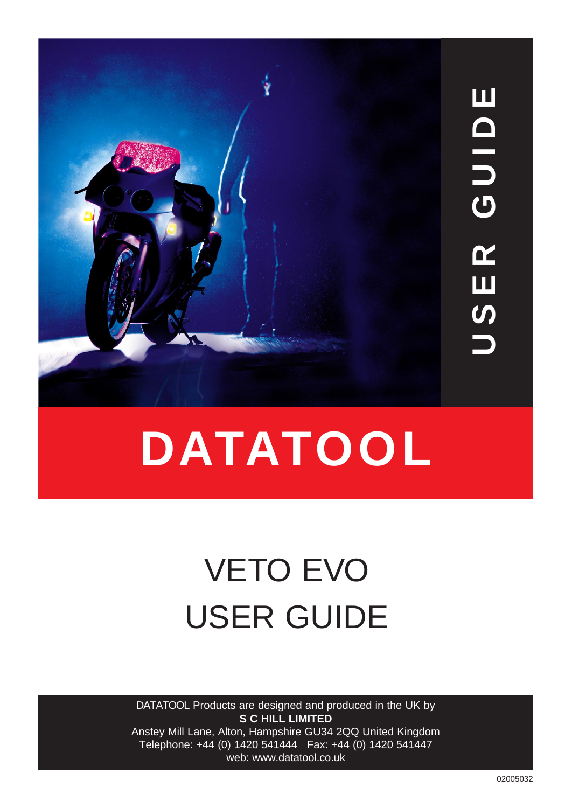

# **DATATOOL**

# VETO EVO USER GUIDE

DATATOOL Products are designed and produced in the UK by **S C HILL LIMITED** Anstey Mill Lane, Alton, Hampshire GU34 2QQ United Kingdom Telephone: +44 (0) 1420 541444 Fax: +44 (0) 1420 541447 web: www.datatool.co.uk

02005032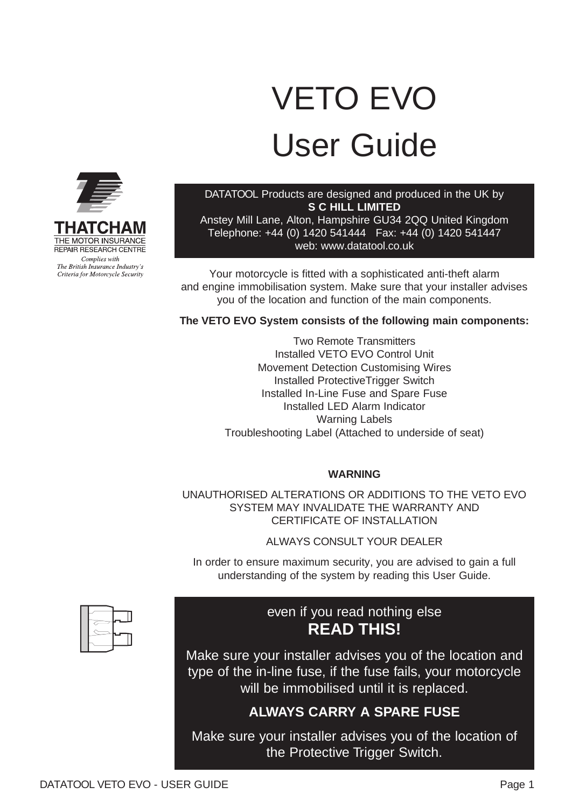# VETO EVO User Guide



DATATOOL Products are designed and produced in the UK by **S C HILL LIMITED** Anstey Mill Lane, Alton, Hampshire GU34 2QQ United Kingdom

Telephone: +44 (0) 1420 541444 Fax: +44 (0) 1420 541447 web: www.datatool.co.uk

Your motorcycle is fitted with a sophisticated anti-theft alarm and engine immobilisation system. Make sure that your installer advises you of the location and function of the main components.

# **The VETO EVO System consists of the following main components:**

Two Remote Transmitters Installed VETO EVO Control Unit Movement Detection Customising Wires Installed ProtectiveTrigger Switch Installed In-Line Fuse and Spare Fuse Installed LED Alarm Indicator Warning Labels Troubleshooting Label (Attached to underside of seat)

# **WARNING**

UNAUTHORISED ALTERATIONS OR ADDITIONS TO THE VETO EVO SYSTEM MAY INVALIDATE THE WARRANTY AND CERTIFICATE OF INSTALLATION

ALWAYS CONSULT YOUR DEALER

In order to ensure maximum security, you are advised to gain a full understanding of the system by reading this User Guide.

# even if you read nothing else **READ THIS!**

Make sure your installer advises you of the location and type of the in-line fuse, if the fuse fails, your motorcycle will be immobilised until it is replaced.

# **ALWAYS CARRY A SPARE FUSE**

Make sure your installer advises you of the location of the Protective Trigger Switch.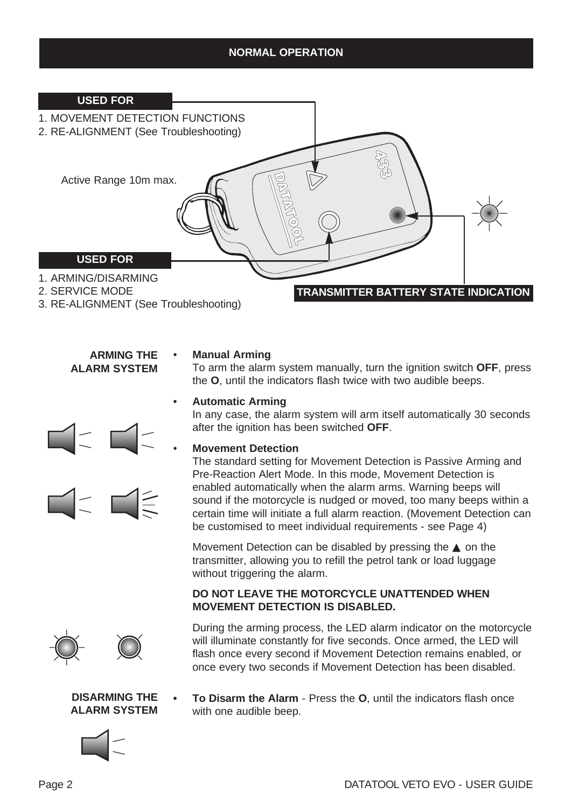# **NORMAL OPERATION**



3. RE-ALIGNMENT (See Troubleshooting)

**ARMING THE ALARM SYSTEM**

## • **Manual Arming**

To arm the alarm system manually, turn the ignition switch **OFF**, press the **O**, until the indicators flash twice with two audible beeps.

## • **Automatic Arming**

In any case, the alarm system will arm itself automatically 30 seconds after the ignition has been switched **OFF**.

## • **Movement Detection**

The standard setting for Movement Detection is Passive Arming and Pre-Reaction Alert Mode. In this mode, Movement Detection is enabled automatically when the alarm arms. Warning beeps will sound if the motorcycle is nudged or moved, too many beeps within a certain time will initiate a full alarm reaction. (Movement Detection can be customised to meet individual requirements - see Page 4)

Movement Detection can be disabled by pressing the ▲ on the transmitter, allowing you to refill the petrol tank or load luggage without triggering the alarm.

# **DO NOT LEAVE THE MOTORCYCLE UNATTENDED WHEN MOVEMENT DETECTION IS DISABLED.**



During the arming process, the LED alarm indicator on the motorcycle will illuminate constantly for five seconds. Once armed, the LED will flash once every second if Movement Detection remains enabled, or once every two seconds if Movement Detection has been disabled.

# **DISARMING THE ALARM SYSTEM**

**• To Disarm the Alarm** - Press the **O**, until the indicators flash once with one audible beep.



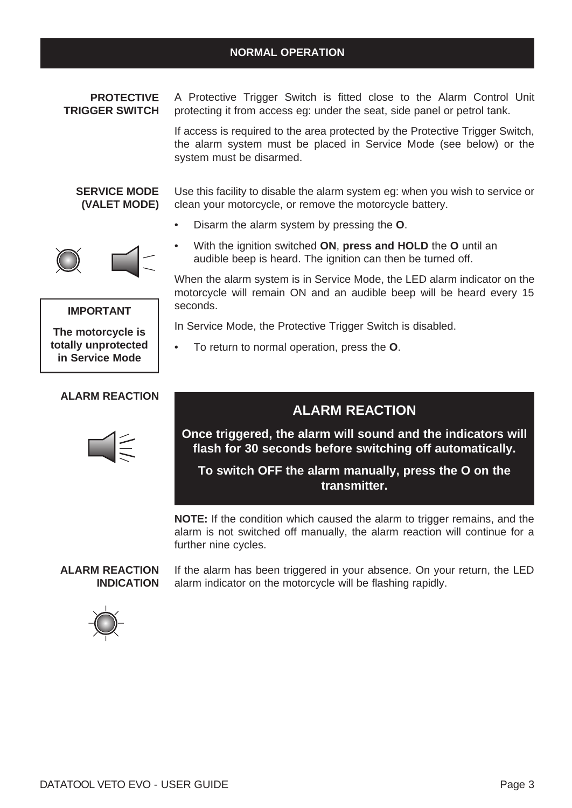# **NORMAL OPERATION**

**PROTECTIVE TRIGGER SWITCH**

A Protective Trigger Switch is fitted close to the Alarm Control Unit protecting it from access eg: under the seat, side panel or petrol tank.

If access is required to the area protected by the Protective Trigger Switch, the alarm system must be placed in Service Mode (see below) or the system must be disarmed.

Use this facility to disable the alarm system eg: when you wish to service or

# **SERVICE MODE (VALET MODE)**





**The motorcycle is totally unprotected in Service Mode**

• With the ignition switched **ON**, **press and HOLD** the **O** until an audible beep is heard. The ignition can then be turned off.

When the alarm system is in Service Mode, the LED alarm indicator on the motorcycle will remain ON and an audible beep will be heard every 15 seconds.

In Service Mode, the Protective Trigger Switch is disabled.

• To return to normal operation, press the **O**.

# **ALARM REACTION**



# **ALARM REACTION**

**Once triggered, the alarm will sound and the indicators will flash for 30 seconds before switching off automatically.**

**To switch OFF the alarm manually, press the O on the transmitter.**

**NOTE:** If the condition which caused the alarm to trigger remains, and the alarm is not switched off manually, the alarm reaction will continue for a further nine cycles.

**ALARM REACTION INDICATION** If the alarm has been triggered in your absence. On your return, the LED alarm indicator on the motorcycle will be flashing rapidly.



**IMPORTANT**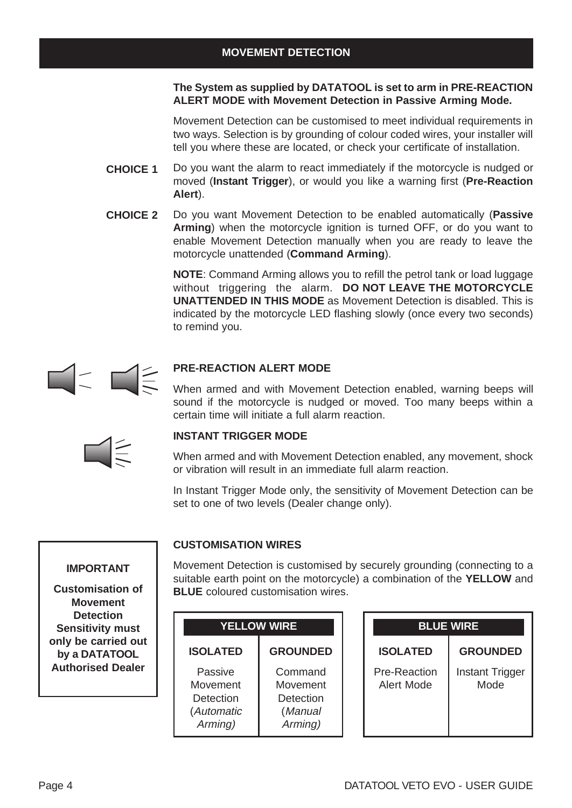# **The System as supplied by DATATOOL is set to arm in PRE-REACTION ALERT MODE with Movement Detection in Passive Arming Mode.**

Movement Detection can be customised to meet individual requirements in two ways. Selection is by grounding of colour coded wires, your installer will tell you where these are located, or check your certificate of installation.

- Do you want the alarm to react immediately if the motorcycle is nudged or moved (**Instant Trigger**), or would you like a warning first (**Pre-Reaction Alert**). **CHOICE 1**
- Do you want Movement Detection to be enabled automatically (**Passive Arming**) when the motorcycle ignition is turned OFF, or do you want to enable Movement Detection manually when you are ready to leave the motorcycle unattended (**Command Arming**). **CHOICE 2**

**NOTE**: Command Arming allows you to refill the petrol tank or load luggage without triggering the alarm. **DO NOT LEAVE THE MOTORCYCLE UNATTENDED IN THIS MODE** as Movement Detection is disabled. This is indicated by the motorcycle LED flashing slowly (once every two seconds) to remind you.



# **PRE-REACTION ALERT MODE**

When armed and with Movement Detection enabled, warning beeps will sound if the motorcycle is nudged or moved. Too many beeps within a certain time will initiate a full alarm reaction.



# **INSTANT TRIGGER MODE**

When armed and with Movement Detection enabled, any movement, shock or vibration will result in an immediate full alarm reaction.

In Instant Trigger Mode only, the sensitivity of Movement Detection can be set to one of two levels (Dealer change only).

# **IMPORTANT**

**Customisation of Movement Detection Sensitivity must only be carried out by a DATATOOL Authorised Dealer**

**CUSTOMISATION WIRES**

Movement Detection is customised by securely grounding (connecting to a suitable earth point on the motorcycle) a combination of the **YELLOW** and **BLUE** coloured customisation wires.

| <b>YELLOW WIRE</b>                                        |                                                        |  |  |
|-----------------------------------------------------------|--------------------------------------------------------|--|--|
| <b>ISOLATED</b>                                           | <b>GROUNDED</b>                                        |  |  |
| Passive<br>Movement<br>Detection<br>(Automatic<br>Arming) | Command<br>Movement<br>Detection<br>(Manual<br>Arming) |  |  |

| <b>BLUE WIRE</b> |  |
|------------------|--|
|                  |  |

**ISOLATED**

Pre-Reaction Alert Mode

| <b>GROUNDED</b>        |  |  |
|------------------------|--|--|
| <b>Instant Trigger</b> |  |  |
| Mode                   |  |  |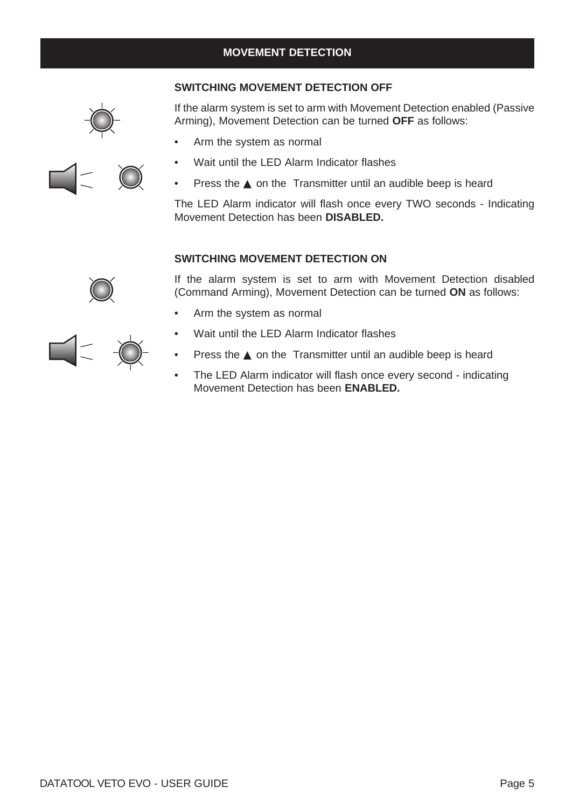# **MOVEMENT DETECTION**

# **SWITCHING MOVEMENT DETECTION OFF**

If the alarm system is set to arm with Movement Detection enabled (Passive Arming), Movement Detection can be turned **OFF** as follows:

- Arm the system as normal
- Wait until the LED Alarm Indicator flashes
- Press the ▲ on the Transmitter until an audible beep is heard

The LED Alarm indicator will flash once every TWO seconds - Indicating Movement Detection has been **DISABLED.**

# **SWITCHING MOVEMENT DETECTION ON**

If the alarm system is set to arm with Movement Detection disabled (Command Arming), Movement Detection can be turned **ON** as follows:

- Arm the system as normal
- Wait until the LED Alarm Indicator flashes
- Press the ▲ on the Transmitter until an audible beep is heard
- The LED Alarm indicator will flash once every second indicating Movement Detection has been **ENABLED.**





 $\overline{\phantom{a}}$ 

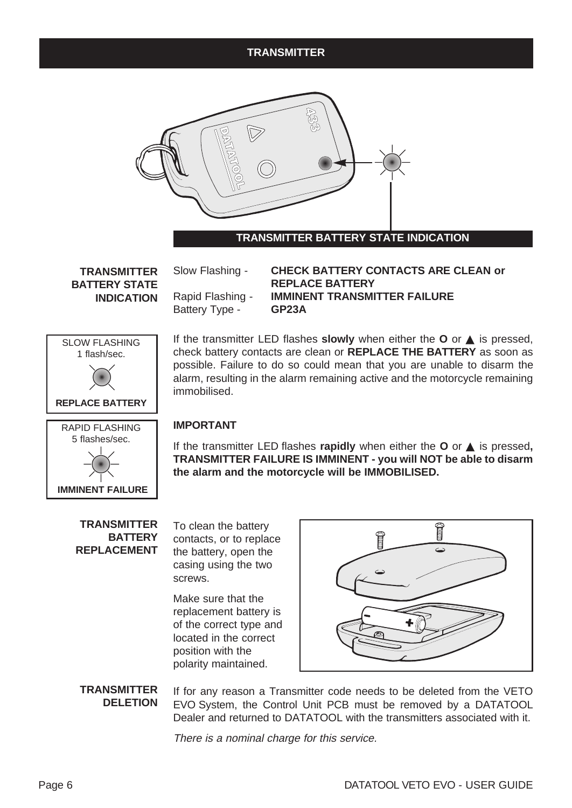# **TRANSMITTER**



# **TRANSMITTER BATTERY STATE INDICATION**

If the transmitter LED flashes **slowly** when either the **O** or ▲ is pressed, check battery contacts are clean or **REPLACE THE BATTERY** as soon as possible. Failure to do so could mean that you are unable to disarm the alarm, resulting in the alarm remaining active and the motorcycle remaining

**TRANSMITTER BATTERY STATE INDICATION**

Battery Type - **GP23A**

Slow Flashing - **CHECK BATTERY CONTACTS ARE CLEAN or REPLACE BATTERY** Rapid Flashing - **IMMINENT TRANSMITTER FAILURE**



**TRANSMITTER BATTERY REPLACEMENT**

# **IMPORTANT**

immobilised.

If the transmitter LED flashes **rapidly** when either the **O** or ▲ is pressed**, TRANSMITTER FAILURE IS IMMINENT - you will NOT be able to disarm the alarm and the motorcycle will be IMMOBILISED.**

To clean the battery contacts, or to replace the battery, open the casing using the two screws.

Make sure that the replacement battery is of the correct type and located in the correct position with the polarity maintained.



## **TRANSMITTER DELETION**

If for any reason a Transmitter code needs to be deleted from the VETO EVO System, the Control Unit PCB must be removed by a DATATOOL Dealer and returned to DATATOOL with the transmitters associated with it.

There is a nominal charge for this service.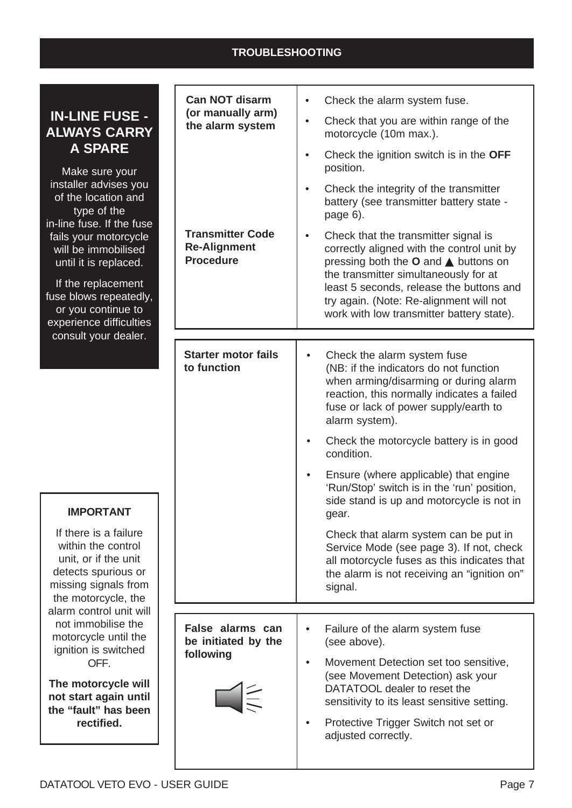# **TROUBLESHOOTING**

| TN-LINE FUSE -      |  |
|---------------------|--|
| <b>ALWAYS CARRY</b> |  |
| <b>A SPARE</b>      |  |

Г

Make sure your installer advises you of the location and type of the in-line fuse. If the fuse fails your motorcycle will be immobilised until it is replaced.

If the replacement fuse blows repeatedly, or you continue to experience difficulties consult your dealer.

| Can NOT disarm                                                     | Check the alarm system fuse.                                                                                                                                                                                                                                                                            |
|--------------------------------------------------------------------|---------------------------------------------------------------------------------------------------------------------------------------------------------------------------------------------------------------------------------------------------------------------------------------------------------|
| (or manually arm)<br>the alarm system                              | Check that you are within range of the<br>motorcycle (10m max.).                                                                                                                                                                                                                                        |
|                                                                    | Check the ignition switch is in the OFF<br>$\bullet$<br>position.                                                                                                                                                                                                                                       |
|                                                                    | Check the integrity of the transmitter<br>battery (see transmitter battery state -<br>page 6).                                                                                                                                                                                                          |
| <b>Transmitter Code</b><br><b>Re-Alignment</b><br><b>Procedure</b> | Check that the transmitter signal is<br>correctly aligned with the control unit by<br>pressing both the O and ▲ buttons on<br>the transmitter simultaneously for at<br>least 5 seconds, release the buttons and<br>try again. (Note: Re-alignment will not<br>work with low transmitter battery state). |
|                                                                    |                                                                                                                                                                                                                                                                                                         |
| <b>Starter motor fails</b><br>to function                          | Check the alarm system fuse<br>(NB: if the indicators do not function<br>when arming/disarming or during alarm<br>reaction, this normally indicates a failed<br>fuse or lack of power supply/earth to<br>alarm system).                                                                                 |
|                                                                    | Check the motorcycle battery is in good<br>condition.                                                                                                                                                                                                                                                   |
|                                                                    | Ensure (where applicable) that engine<br>'Run/Stop' switch is in the 'run' position,<br>side stand is up and motorcycle is not in<br>gear.                                                                                                                                                              |
|                                                                    | Check that alarm system can be put in<br>Service Mode (see page 3). If not, check<br>all motorcycle fuses as this indicates that<br>the alarm is not receiving an "ignition on"<br>signal.                                                                                                              |
|                                                                    |                                                                                                                                                                                                                                                                                                         |
| False alarms can<br>be initiated by the<br>following               | Failure of the alarm system fuse<br>$\bullet$<br>(see above).                                                                                                                                                                                                                                           |
|                                                                    | Movement Detection set too sensitive,<br>$\bullet$<br>(see Movement Detection) ask your<br>DATATOOL dealer to reset the<br>sensitivity to its least sensitive setting.                                                                                                                                  |
|                                                                    | Protective Trigger Switch not set or<br>adjusted correctly.                                                                                                                                                                                                                                             |
|                                                                    |                                                                                                                                                                                                                                                                                                         |

# **IMPORTANT**

If there is a failure within the control unit, or if the unit detects spurious or missing signals from the motorcycle, the alarm control unit will not immobilise the motorcycle until the ignition is switched OFF.

**The motorcycle will not start again until the "fault" has been rectified.**